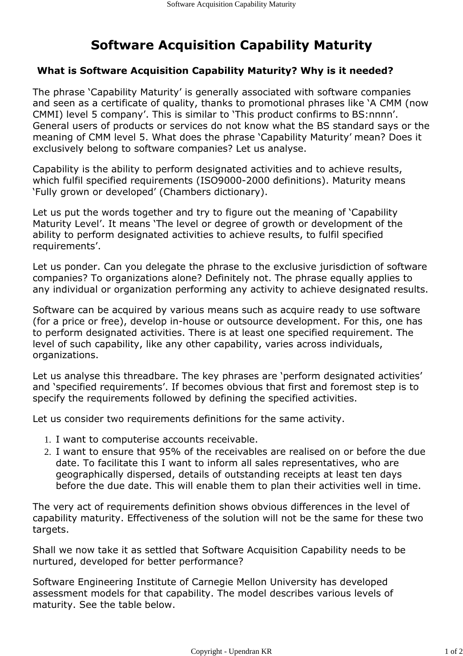## Software Acquisition Capability Maturity

## What is Software Acquisition Capability Maturity? Why is it needed?

The phrase 'Capability Maturity' is generally associated with software companies and seen as a certificate of quality, thanks to promotional phrases like 'A CMM (now CMMI) level 5 company'. This is similar to 'This product confirms to BS:nnnn'. General users of products or services do not know what the BS standard says or the meaning of CMM level 5. What does the phrase 'Capability Maturity' mean? Does it exclusively belong to software companies? Let us analyse.

Capability is the ability to perform designated activities and to achieve results, which fulfil specified requirements (ISO9000-2000 definitions). Maturity means 'Fully grown or developed' (Chambers dictionary).

Let us put the words together and try to figure out the meaning of 'Capability Maturity Level'. It means 'The level or degree of growth or development of the ability to perform designated activities to achieve results, to fulfil specified requirements'.

Let us ponder. Can you delegate the phrase to the exclusive jurisdiction of software companies? To organizations alone? Definitely not. The phrase equally applies to any individual or organization performing any activity to achieve designated results.

Software can be acquired by various means such as acquire ready to use software (for a price or free), develop in-house or outsource development. For this, one has to perform designated activities. There is at least one specified requirement. The level of such capability, like any other capability, varies across individuals, organizations.

Let us analyse this threadbare. The key phrases are 'perform designated activities' and 'specified requirements'. If becomes obvious that first and foremost step is to specify the requirements followed by defining the specified activities.

Let us consider two requirements definitions for the same activity.

- 1. I want to computerise accounts receivable.
- 2. I want to ensure that 95% of the receivables are realised on or before the due date. To facilitate this I want to inform all sales representatives, who are geographically dispersed, details of outstanding receipts at least ten days before the due date. This will enable them to plan their activities well in time.

The very act of requirements definition shows obvious differences in the level of capability maturity. Effectiveness of the solution will not be the same for these two targets.

Shall we now take it as settled that Software Acquisition Capability needs to be nurtured, developed for better performance?

Software Engineering Institute of Carnegie Mellon University has developed assessment models for that capability. The model describes various levels of maturity. See the table below.